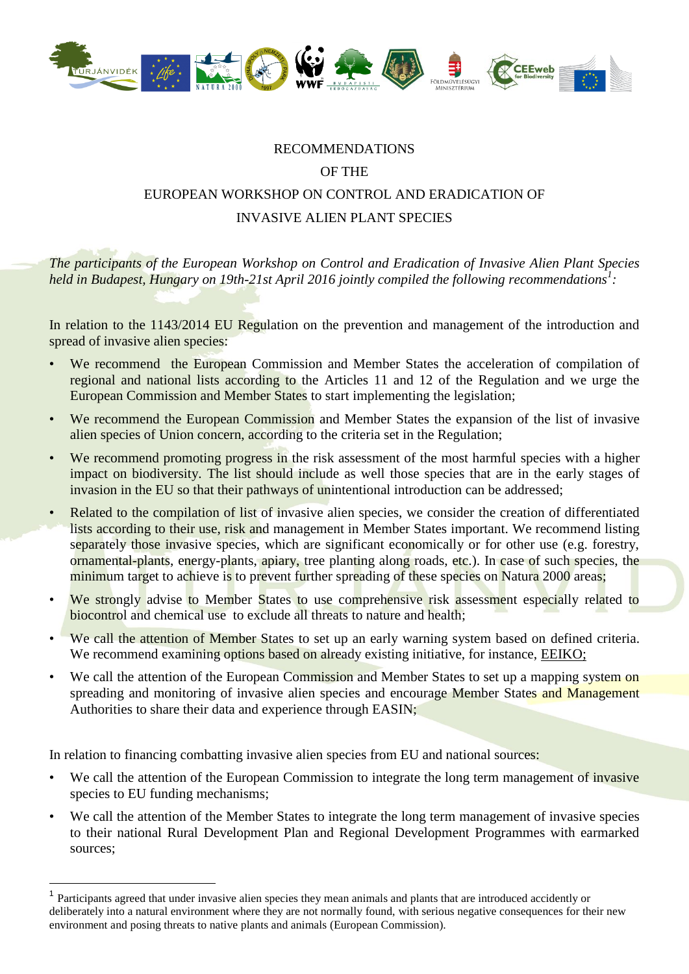

## RECOMMENDATIONS

## OF THE

## EUROPEAN WORKSHOP ON CONTROL AND ERADICATION OF INVASIVE ALIEN PLANT SPECIES

*The participants of the European Workshop on Control and Eradication of Invasive Alien Plant Species held in Budapest, Hungary on 19th-21st April 2016 jointly compiled the following recommendations<sup>1</sup> :*

In relation to the 1143/2014 EU Regulation on the prevention and management of the introduction and spread of invasive alien species:

- We recommend the European Commission and Member States the acceleration of compilation of regional and national lists according to the Articles 11 and 12 of the Regulation and we urge the European Commission and Member States to start implementing the legislation;
- We recommend the European Commission and Member States the expansion of the list of invasive alien species of Union concern, according to the criteria set in the Regulation;
- We recommend promoting progress in the risk assessment of the most harmful species with a higher impact on biodiversity. The list should include as well those species that are in the early stages of invasion in the EU so that their pathways of unintentional introduction can be addressed;
- Related to the compilation of list of invasive alien species, we consider the creation of differentiated lists according to their use, risk and management in Member States important. We recommend listing separately those invasive species, which are significant economically or for other use (e.g. forestry, ornamental-plants, energy-plants, apiary, tree planting along roads, etc.). In case of such species, the minimum target to achieve is to prevent further spreading of these species on Natura 2000 areas;
- We strongly advise to Member States to use comprehensive risk assessment especially related to biocontrol and chemical use to exclude all threats to nature and health;
- We call the attention of Member States to set up an early warning system based on defined criteria. We recommend examining options based on already existing initiative, for instance, [EEIKO;](http://www.eeiko.es/)
- We call the attention of the European Commission and Member States to set up a mapping system on spreading and monitoring of invasive alien species and encourage Member States and Management Authorities to share their data and experience through EASIN;

In relation to financing combatting invasive alien species from EU and national sources:

 $\overline{a}$ 

- We call the attention of the European Commission to integrate the long term management of invasive species to EU funding mechanisms;
- We call the attention of the Member States to integrate the long term management of invasive species to their national Rural Development Plan and Regional Development Programmes with earmarked sources;

<sup>1</sup> Participants agreed that under invasive alien species they mean animals and plants that are introduced accidently or deliberately into a natural environment where they are not normally found, with serious negative consequences for their new environment and posing threats to native plants and animals (European Commission).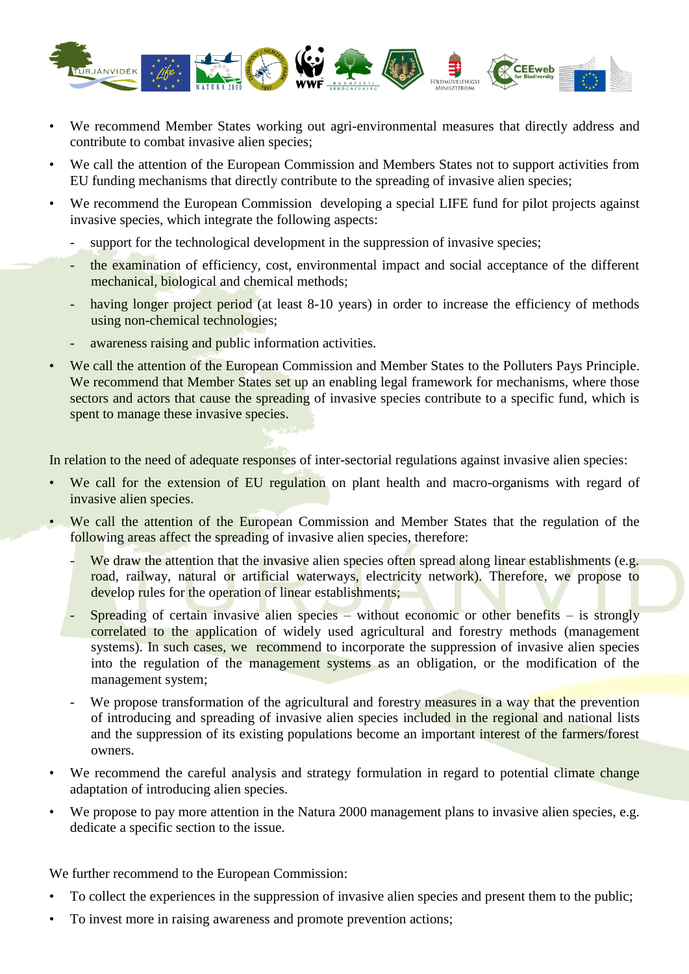

- We recommend Member States working out agri-environmental measures that directly address and contribute to combat invasive alien species;
- We call the attention of the European Commission and Members States not to support activities from EU funding mechanisms that directly contribute to the spreading of invasive alien species;
- We recommend the European Commission developing a special LIFE fund for pilot projects against invasive species, which integrate the following aspects:
	- support for the technological development in the suppression of invasive species;
	- the examination of efficiency, cost, environmental impact and social acceptance of the different mechanical, biological and chemical methods;
	- having longer project period (at least 8-10 years) in order to increase the efficiency of methods using non-chemical technologies;
	- awareness raising and public information activities.
- We call the attention of the European Commission and Member States to the Polluters Pays Principle. We recommend that Member States set up an enabling legal framework for mechanisms, where those sectors and actors that cause the spreading of invasive species contribute to a specific fund, which is spent to manage these invasive species.

In relation to the need of adequate responses of inter-sectorial regulations against invasive alien species:

- We call for the extension of EU regulation on plant health and macro-organisms with regard of invasive alien species.
- We call the attention of the European Commission and Member States that the regulation of the following areas affect the spreading of invasive alien species, therefore:
	- We draw the attention that the invasive alien species often spread along linear establishments (e.g. road, railway, natural or artificial waterways, electricity network). Therefore, we propose to develop rules for the operation of linear establishments:
	- Spreading of certain invasive alien species without economic or other benefits is strongly correlated to the application of widely used agricultural and forestry methods (management systems). In such cases, we recommend to incorporate the suppression of invasive alien species into the regulation of the management systems as an obligation, or the modification of the management system;
	- We propose transformation of the agricultural and forestry measures in a way that the prevention of introducing and spreading of invasive alien species included in the regional and national lists and the suppression of its existing populations become an important interest of the farmers/forest owners.
- We recommend the careful analysis and strategy formulation in regard to potential climate change adaptation of introducing alien species.
- We propose to pay more attention in the Natura 2000 management plans to invasive alien species, e.g. dedicate a specific section to the issue.

We further recommend to the European Commission:

- To collect the experiences in the suppression of invasive alien species and present them to the public;
- To invest more in raising awareness and promote prevention actions;